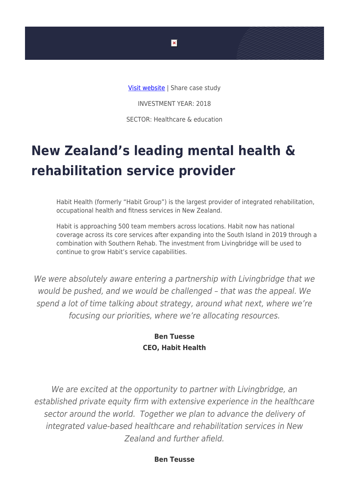

INVESTMENT YEAR: 2018

SECTOR: Healthcare & education

## **New Zealand's leading mental health & rehabilitation service provider**

Habit Health (formerly "Habit Group") is the largest provider of integrated rehabilitation, occupational health and fitness services in New Zealand.

Habit is approaching 500 team members across locations. Habit now has national coverage across its core services after expanding into the South Island in 2019 through a combination with Southern Rehab. The investment from Livingbridge will be used to continue to grow Habit's service capabilities.

We were absolutely aware entering a partnership with Livingbridge that we would be pushed, and we would be challenged – that was the appeal. We spend a lot of time talking about strategy, around what next, where we're focusing our priorities, where we're allocating resources.

## **Ben Tuesse CEO, Habit Health**

We are excited at the opportunity to partner with Livingbridge, an established private equity firm with extensive experience in the healthcare sector around the world. Together we plan to advance the delivery of integrated value-based healthcare and rehabilitation services in New Zealand and further afield.

**Ben Teusse**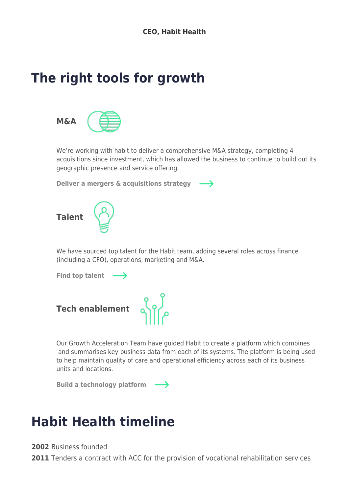## **The right tools for growth**



We're working with habit to deliver a comprehensive M&A strategy, completing 4 acquisitions since investment, which has allowed the business to continue to build out its geographic presence and service offering.

**[Deliver a mergers & acquisitions strategy](https://www.livingbridge.com/g_accelerator/mergers-and-acquisitions/)**   $\rightarrow$ 



We have sourced top talent for the Habit team, adding several roles across finance (including a CFO), operations, marketing and M&A.

[Find top talent](https://www.livingbridge.com/g_accelerator/talent/)  $\longrightarrow$ 



Our Growth Acceleration Team have guided Habit to create a platform which combines and summarises key business data from each of its systems. The platform is being used to help maintain quality of care and operational efficiency across each of its business units and locations.

**[Build a technology platform](https://www.livingbridge.com/g_accelerator/tech-enablement/)** 

## **Habit Health timeline**

**2002** Business founded

**2011** Tenders a contract with ACC for the provision of vocational rehabilitation services